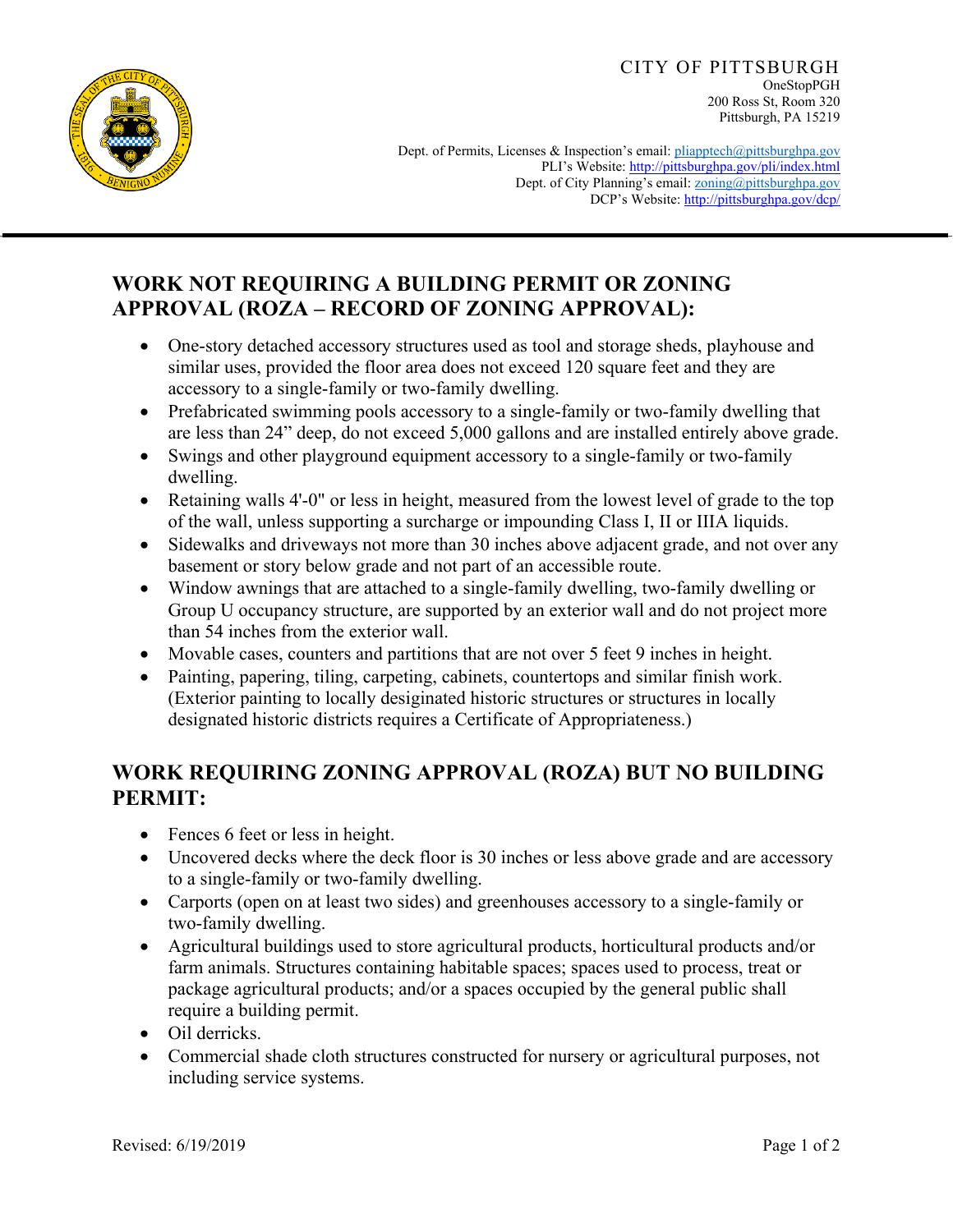

CITY OF PITTSBURGH OneStopPGH 200 Ross St, Room 320 Pittsburgh, PA 15219

Dept. of Permits, Licenses & Inspection's email: pliapptech@pittsburghpa.gov PLI's Website: http://pittsburghpa.gov/pli/index.html Dept. of City Planning's email: **zoning@pittsburghpa.gov** DCP's Website: http://pittsburghpa.gov/dcp/

## **WORK NOT REQUIRING A BUILDING PERMIT OR ZONING APPROVAL (ROZA – RECORD OF ZONING APPROVAL):**

- One-story detached accessory structures used as tool and storage sheds, playhouse and similar uses, provided the floor area does not exceed 120 square feet and they are accessory to a single-family or two-family dwelling.
- Prefabricated swimming pools accessory to a single-family or two-family dwelling that are less than 24" deep, do not exceed 5,000 gallons and are installed entirely above grade.
- Swings and other playground equipment accessory to a single-family or two-family dwelling.
- Retaining walls 4'-0" or less in height, measured from the lowest level of grade to the top of the wall, unless supporting a surcharge or impounding Class I, II or IIIA liquids.
- Sidewalks and driveways not more than 30 inches above adjacent grade, and not over any basement or story below grade and not part of an accessible route.
- Window awnings that are attached to a single-family dwelling, two-family dwelling or Group U occupancy structure, are supported by an exterior wall and do not project more than 54 inches from the exterior wall.
- Movable cases, counters and partitions that are not over 5 feet 9 inches in height.
- Painting, papering, tiling, carpeting, cabinets, countertops and similar finish work. (Exterior painting to locally desiginated historic structures or structures in locally designated historic districts requires a Certificate of Appropriateness.)

## **WORK REQUIRING ZONING APPROVAL (ROZA) BUT NO BUILDING PERMIT:**

- Fences 6 feet or less in height.
- Uncovered decks where the deck floor is 30 inches or less above grade and are accessory to a single-family or two-family dwelling.
- Carports (open on at least two sides) and greenhouses accessory to a single-family or two-family dwelling.
- Agricultural buildings used to store agricultural products, horticultural products and/or farm animals. Structures containing habitable spaces; spaces used to process, treat or package agricultural products; and/or a spaces occupied by the general public shall require a building permit.
- Oil derricks.
- Commercial shade cloth structures constructed for nursery or agricultural purposes, not including service systems.